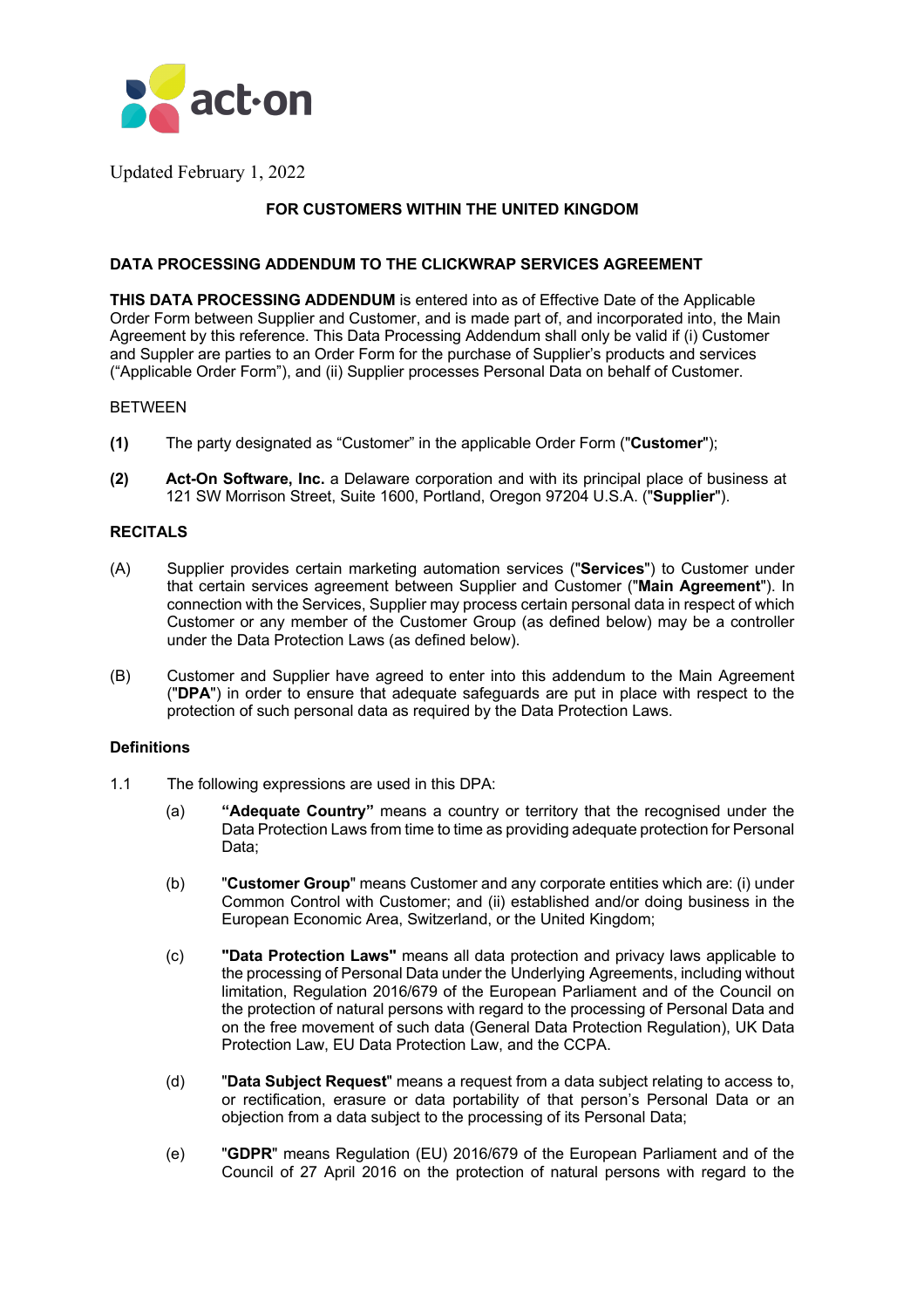

Updated February 1, 2022

## **FOR CUSTOMERS WITHIN THE UNITED KINGDOM**

## **DATA PROCESSING ADDENDUM TO THE CLICKWRAP SERVICES AGREEMENT**

**THIS DATA PROCESSING ADDENDUM** is entered into as of Effective Date of the Applicable Order Form between Supplier and Customer, and is made part of, and incorporated into, the Main Agreement by this reference. This Data Processing Addendum shall only be valid if (i) Customer and Suppler are parties to an Order Form for the purchase of Supplier's products and services ("Applicable Order Form"), and (ii) Supplier processes Personal Data on behalf of Customer.

## BETWEEN

- **(1)** The party designated as "Customer" in the applicable Order Form ("**Customer**");
- **(2) Act-On Software, Inc.** a Delaware corporation and with its principal place of business at 121 SW Morrison Street, Suite 1600, Portland, Oregon 97204 U.S.A. ("**Supplier**").

## **RECITALS**

- (A) Supplier provides certain marketing automation services ("**Services**") to Customer under that certain services agreement between Supplier and Customer ("**Main Agreement**"). In connection with the Services, Supplier may process certain personal data in respect of which Customer or any member of the Customer Group (as defined below) may be a controller under the Data Protection Laws (as defined below).
- (B) Customer and Supplier have agreed to enter into this addendum to the Main Agreement ("**DPA**") in order to ensure that adequate safeguards are put in place with respect to the protection of such personal data as required by the Data Protection Laws.

#### **Definitions**

- 1.1 The following expressions are used in this DPA:
	- (a) **"Adequate Country"** means a country or territory that the recognised under the Data Protection Laws from time to time as providing adequate protection for Personal Data;
	- (b) "**Customer Group**" means Customer and any corporate entities which are: (i) under Common Control with Customer; and (ii) established and/or doing business in the European Economic Area, Switzerland, or the United Kingdom;
	- (c) **"Data Protection Laws"** means all data protection and privacy laws applicable to the processing of Personal Data under the Underlying Agreements, including without limitation, Regulation 2016/679 of the European Parliament and of the Council on the protection of natural persons with regard to the processing of Personal Data and on the free movement of such data (General Data Protection Regulation), UK Data Protection Law, EU Data Protection Law, and the CCPA.
	- (d) "**Data Subject Request**" means a request from a data subject relating to access to, or rectification, erasure or data portability of that person's Personal Data or an objection from a data subject to the processing of its Personal Data;
	- (e) "**GDPR**" means Regulation (EU) 2016/679 of the European Parliament and of the Council of 27 April 2016 on the protection of natural persons with regard to the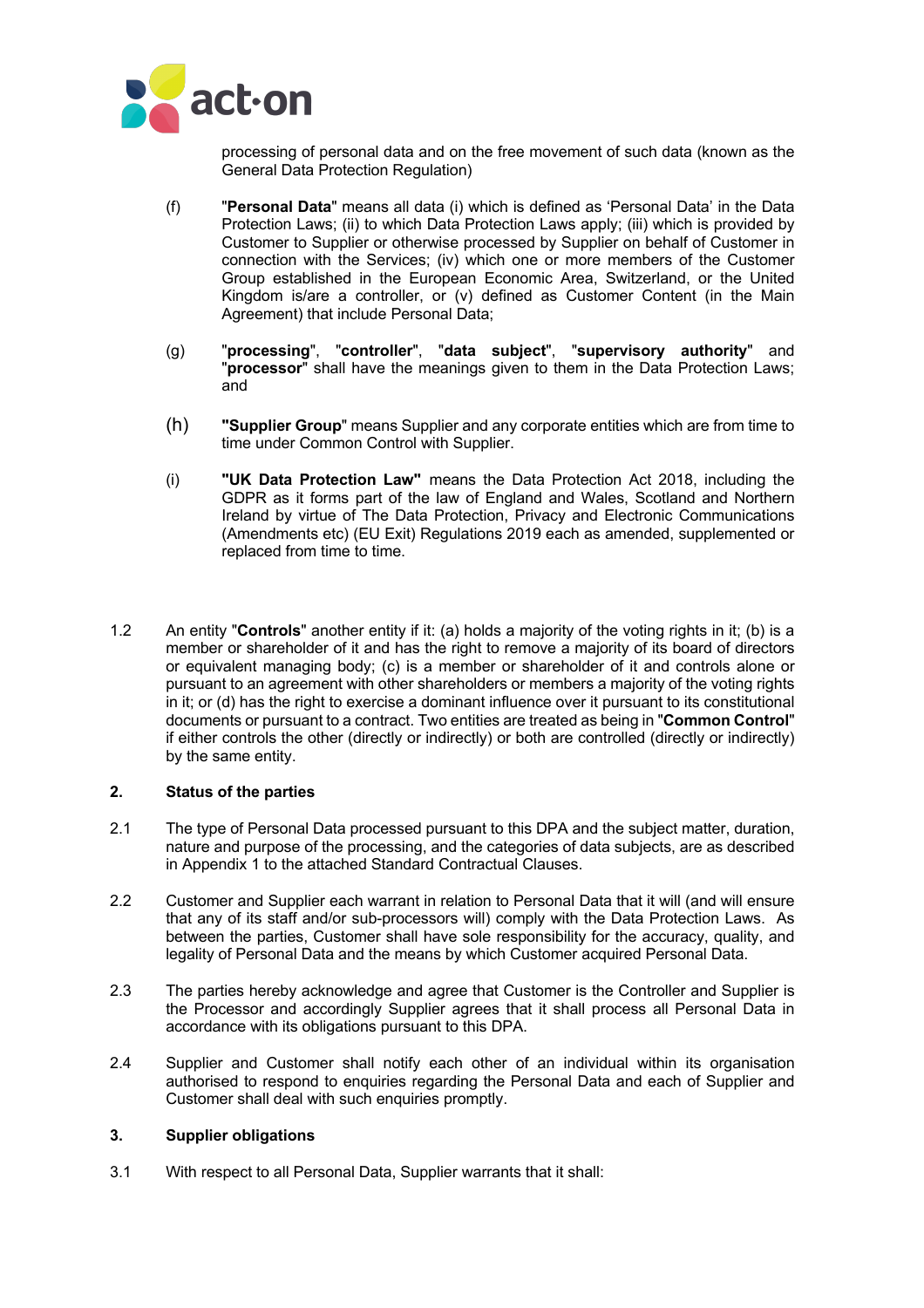

processing of personal data and on the free movement of such data (known as the General Data Protection Regulation)

- (f) "**Personal Data**" means all data (i) which is defined as 'Personal Data' in the Data Protection Laws; (ii) to which Data Protection Laws apply; (iii) which is provided by Customer to Supplier or otherwise processed by Supplier on behalf of Customer in connection with the Services; (iv) which one or more members of the Customer Group established in the European Economic Area, Switzerland, or the United Kingdom is/are a controller, or (v) defined as Customer Content (in the Main Agreement) that include Personal Data;
- (g) "**processing**", "**controller**", "**data subject**", "**supervisory authority**" and "**processor**" shall have the meanings given to them in the Data Protection Laws; and
- (h) **"Supplier Group**" means Supplier and any corporate entities which are from time to time under Common Control with Supplier.
- (i) **"UK Data Protection Law"** means the Data Protection Act 2018, including the GDPR as it forms part of the law of England and Wales, Scotland and Northern Ireland by virtue of The Data Protection, Privacy and Electronic Communications (Amendments etc) (EU Exit) Regulations 2019 each as amended, supplemented or replaced from time to time.
- 1.2 An entity "**Controls**" another entity if it: (a) holds a majority of the voting rights in it; (b) is a member or shareholder of it and has the right to remove a majority of its board of directors or equivalent managing body; (c) is a member or shareholder of it and controls alone or pursuant to an agreement with other shareholders or members a majority of the voting rights in it; or (d) has the right to exercise a dominant influence over it pursuant to its constitutional documents or pursuant to a contract. Two entities are treated as being in "**Common Control**" if either controls the other (directly or indirectly) or both are controlled (directly or indirectly) by the same entity.

## **2. Status of the parties**

- 2.1 The type of Personal Data processed pursuant to this DPA and the subject matter, duration, nature and purpose of the processing, and the categories of data subjects, are as described in Appendix 1 to the attached Standard Contractual Clauses.
- 2.2 Customer and Supplier each warrant in relation to Personal Data that it will (and will ensure that any of its staff and/or sub-processors will) comply with the Data Protection Laws. As between the parties, Customer shall have sole responsibility for the accuracy, quality, and legality of Personal Data and the means by which Customer acquired Personal Data.
- 2.3 The parties hereby acknowledge and agree that Customer is the Controller and Supplier is the Processor and accordingly Supplier agrees that it shall process all Personal Data in accordance with its obligations pursuant to this DPA.
- 2.4 Supplier and Customer shall notify each other of an individual within its organisation authorised to respond to enquiries regarding the Personal Data and each of Supplier and Customer shall deal with such enquiries promptly.

## **3. Supplier obligations**

3.1 With respect to all Personal Data, Supplier warrants that it shall: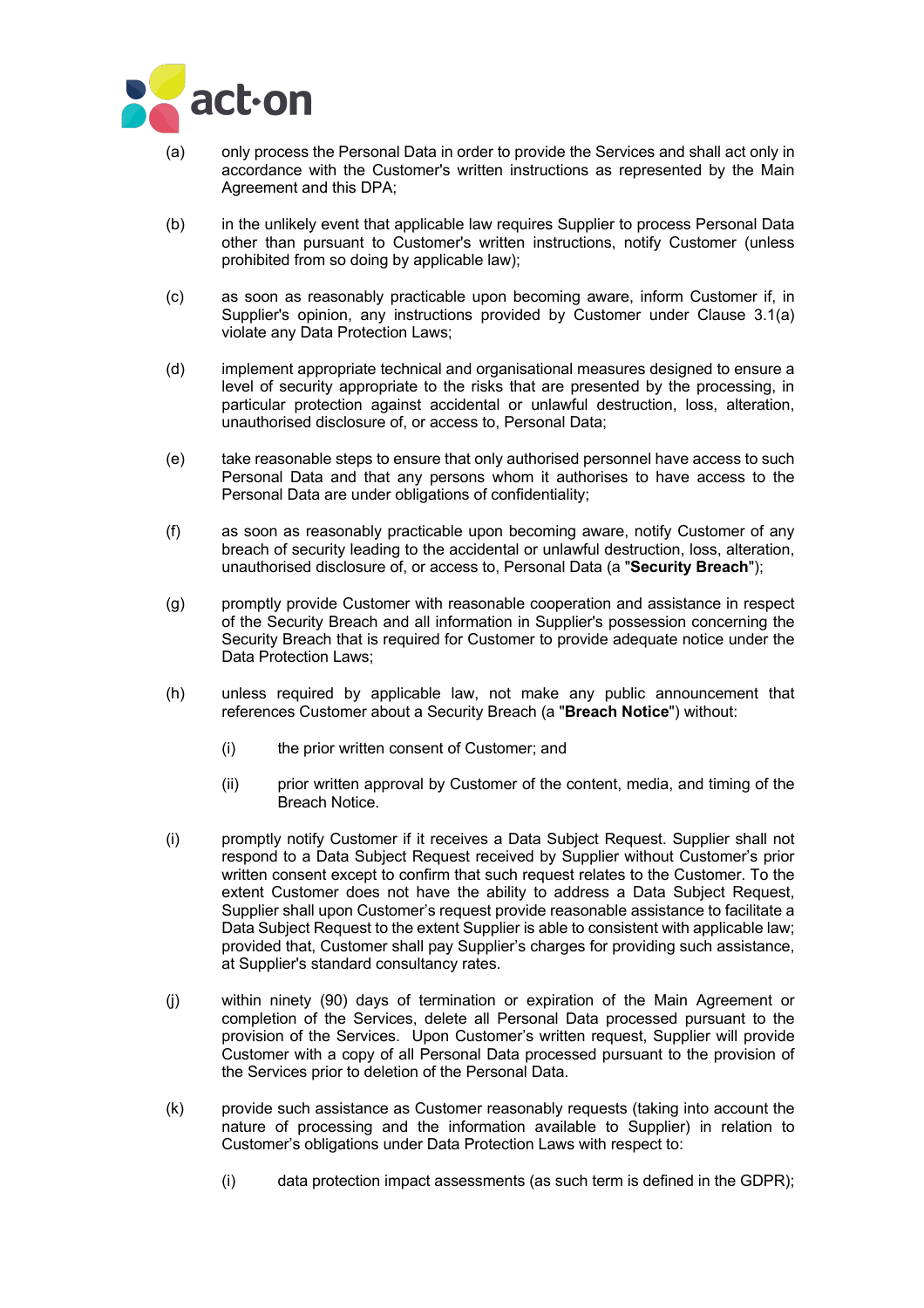

- (a) only process the Personal Data in order to provide the Services and shall act only in accordance with the Customer's written instructions as represented by the Main Agreement and this DPA;
- (b) in the unlikely event that applicable law requires Supplier to process Personal Data other than pursuant to Customer's written instructions, notify Customer (unless prohibited from so doing by applicable law);
- (c) as soon as reasonably practicable upon becoming aware, inform Customer if, in Supplier's opinion, any instructions provided by Customer under Clause 3.1(a) violate any Data Protection Laws;
- (d) implement appropriate technical and organisational measures designed to ensure a level of security appropriate to the risks that are presented by the processing, in particular protection against accidental or unlawful destruction, loss, alteration, unauthorised disclosure of, or access to, Personal Data;
- (e) take reasonable steps to ensure that only authorised personnel have access to such Personal Data and that any persons whom it authorises to have access to the Personal Data are under obligations of confidentiality;
- (f) as soon as reasonably practicable upon becoming aware, notify Customer of any breach of security leading to the accidental or unlawful destruction, loss, alteration, unauthorised disclosure of, or access to, Personal Data (a "**Security Breach**");
- (g) promptly provide Customer with reasonable cooperation and assistance in respect of the Security Breach and all information in Supplier's possession concerning the Security Breach that is required for Customer to provide adequate notice under the Data Protection Laws;
- (h) unless required by applicable law, not make any public announcement that references Customer about a Security Breach (a "**Breach Notice**") without:
	- (i) the prior written consent of Customer; and
	- (ii) prior written approval by Customer of the content, media, and timing of the Breach Notice.
- (i) promptly notify Customer if it receives a Data Subject Request. Supplier shall not respond to a Data Subject Request received by Supplier without Customer's prior written consent except to confirm that such request relates to the Customer. To the extent Customer does not have the ability to address a Data Subject Request, Supplier shall upon Customer's request provide reasonable assistance to facilitate a Data Subject Request to the extent Supplier is able to consistent with applicable law; provided that, Customer shall pay Supplier's charges for providing such assistance, at Supplier's standard consultancy rates.
- (j) within ninety (90) days of termination or expiration of the Main Agreement or completion of the Services, delete all Personal Data processed pursuant to the provision of the Services. Upon Customer's written request, Supplier will provide Customer with a copy of all Personal Data processed pursuant to the provision of the Services prior to deletion of the Personal Data.
- (k) provide such assistance as Customer reasonably requests (taking into account the nature of processing and the information available to Supplier) in relation to Customer's obligations under Data Protection Laws with respect to:
	- (i) data protection impact assessments (as such term is defined in the GDPR);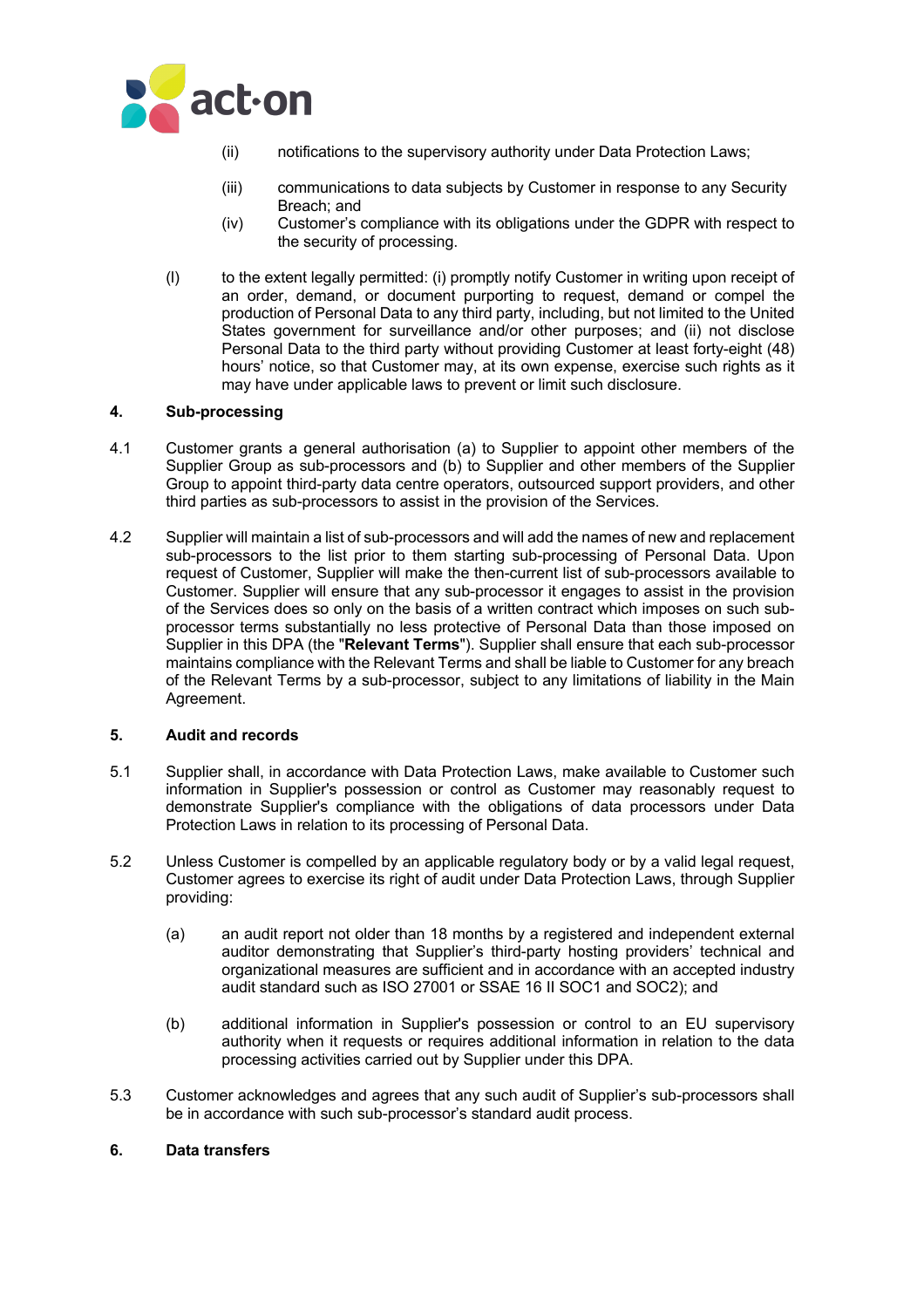

- (ii) notifications to the supervisory authority under Data Protection Laws;
- (iii) communications to data subjects by Customer in response to any Security Breach; and
- (iv) Customer's compliance with its obligations under the GDPR with respect to the security of processing.
- (l) to the extent legally permitted: (i) promptly notify Customer in writing upon receipt of an order, demand, or document purporting to request, demand or compel the production of Personal Data to any third party, including, but not limited to the United States government for surveillance and/or other purposes; and (ii) not disclose Personal Data to the third party without providing Customer at least forty-eight (48) hours' notice, so that Customer may, at its own expense, exercise such rights as it may have under applicable laws to prevent or limit such disclosure.

#### **4. Sub-processing**

- 4.1 Customer grants a general authorisation (a) to Supplier to appoint other members of the Supplier Group as sub-processors and (b) to Supplier and other members of the Supplier Group to appoint third-party data centre operators, outsourced support providers, and other third parties as sub-processors to assist in the provision of the Services.
- 4.2 Supplier will maintain a list of sub-processors and will add the names of new and replacement sub-processors to the list prior to them starting sub-processing of Personal Data. Upon request of Customer, Supplier will make the then-current list of sub-processors available to Customer. Supplier will ensure that any sub-processor it engages to assist in the provision of the Services does so only on the basis of a written contract which imposes on such subprocessor terms substantially no less protective of Personal Data than those imposed on Supplier in this DPA (the "**Relevant Terms**"). Supplier shall ensure that each sub-processor maintains compliance with the Relevant Terms and shall be liable to Customer for any breach of the Relevant Terms by a sub-processor, subject to any limitations of liability in the Main Agreement.

#### **5. Audit and records**

- 5.1 Supplier shall, in accordance with Data Protection Laws, make available to Customer such information in Supplier's possession or control as Customer may reasonably request to demonstrate Supplier's compliance with the obligations of data processors under Data Protection Laws in relation to its processing of Personal Data.
- 5.2 Unless Customer is compelled by an applicable regulatory body or by a valid legal request, Customer agrees to exercise its right of audit under Data Protection Laws, through Supplier providing:
	- (a) an audit report not older than 18 months by a registered and independent external auditor demonstrating that Supplier's third-party hosting providers' technical and organizational measures are sufficient and in accordance with an accepted industry audit standard such as ISO 27001 or SSAE 16 II SOC1 and SOC2); and
	- (b) additional information in Supplier's possession or control to an EU supervisory authority when it requests or requires additional information in relation to the data processing activities carried out by Supplier under this DPA.
- 5.3 Customer acknowledges and agrees that any such audit of Supplier's sub-processors shall be in accordance with such sub-processor's standard audit process.

## **6. Data transfers**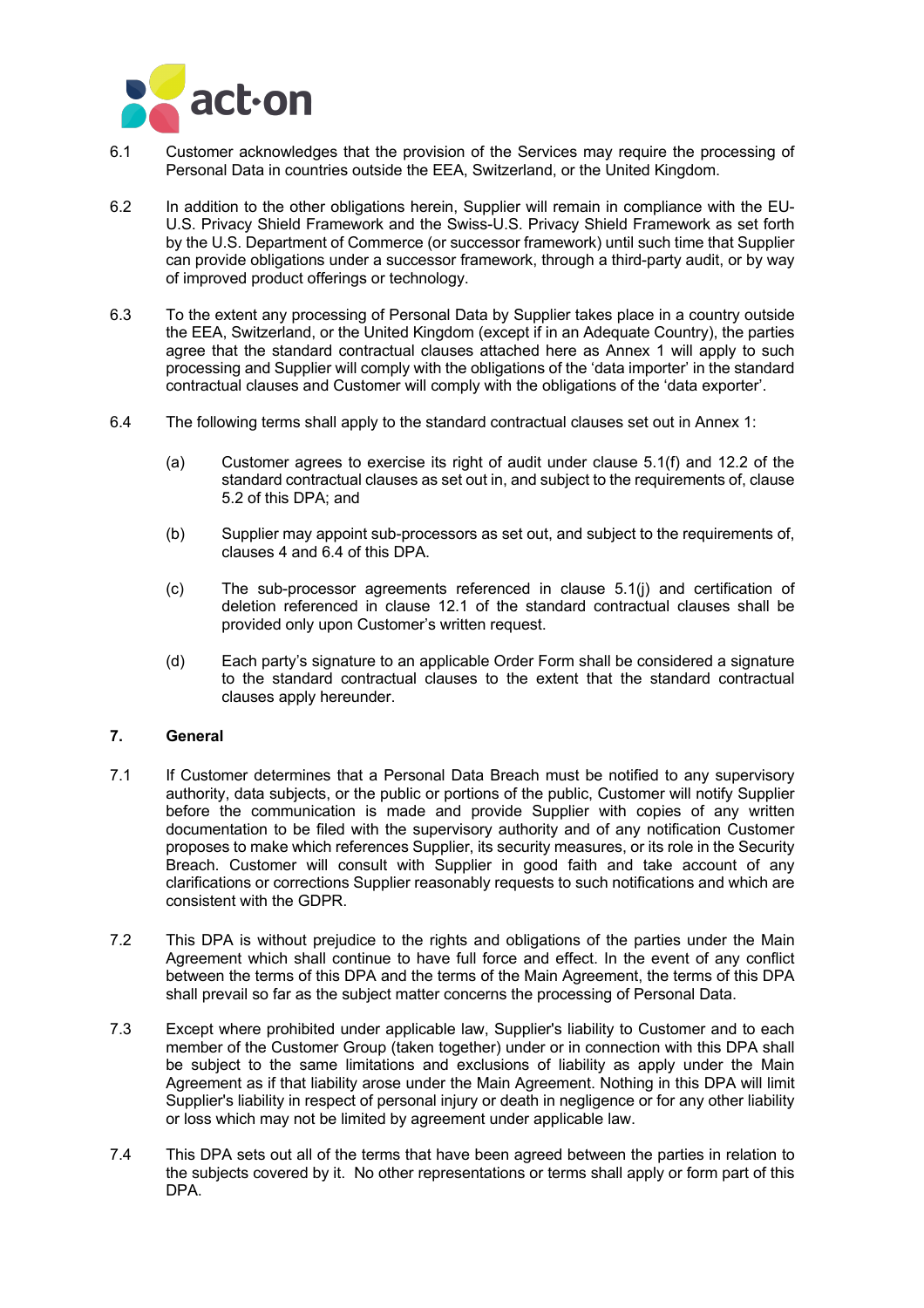

- 6.1 Customer acknowledges that the provision of the Services may require the processing of Personal Data in countries outside the EEA, Switzerland, or the United Kingdom.
- 6.2 In addition to the other obligations herein, Supplier will remain in compliance with the EU-U.S. Privacy Shield Framework and the Swiss-U.S. Privacy Shield Framework as set forth by the U.S. Department of Commerce (or successor framework) until such time that Supplier can provide obligations under a successor framework, through a third-party audit, or by way of improved product offerings or technology.
- 6.3 To the extent any processing of Personal Data by Supplier takes place in a country outside the EEA, Switzerland, or the United Kingdom (except if in an Adequate Country), the parties agree that the standard contractual clauses attached here as Annex 1 will apply to such processing and Supplier will comply with the obligations of the 'data importer' in the standard contractual clauses and Customer will comply with the obligations of the 'data exporter'.
- 6.4 The following terms shall apply to the standard contractual clauses set out in Annex 1:
	- (a) Customer agrees to exercise its right of audit under clause 5.1(f) and 12.2 of the standard contractual clauses as set out in, and subject to the requirements of, clause 5.2 of this DPA; and
	- (b) Supplier may appoint sub-processors as set out, and subject to the requirements of, clauses 4 and 6.4 of this DPA.
	- (c) The sub-processor agreements referenced in clause 5.1(j) and certification of deletion referenced in clause 12.1 of the standard contractual clauses shall be provided only upon Customer's written request.
	- (d) Each party's signature to an applicable Order Form shall be considered a signature to the standard contractual clauses to the extent that the standard contractual clauses apply hereunder.

## **7. General**

- 7.1 If Customer determines that a Personal Data Breach must be notified to any supervisory authority, data subjects, or the public or portions of the public, Customer will notify Supplier before the communication is made and provide Supplier with copies of any written documentation to be filed with the supervisory authority and of any notification Customer proposes to make which references Supplier, its security measures, or its role in the Security Breach. Customer will consult with Supplier in good faith and take account of any clarifications or corrections Supplier reasonably requests to such notifications and which are consistent with the GDPR.
- 7.2 This DPA is without prejudice to the rights and obligations of the parties under the Main Agreement which shall continue to have full force and effect. In the event of any conflict between the terms of this DPA and the terms of the Main Agreement, the terms of this DPA shall prevail so far as the subject matter concerns the processing of Personal Data.
- 7.3 Except where prohibited under applicable law, Supplier's liability to Customer and to each member of the Customer Group (taken together) under or in connection with this DPA shall be subject to the same limitations and exclusions of liability as apply under the Main Agreement as if that liability arose under the Main Agreement. Nothing in this DPA will limit Supplier's liability in respect of personal injury or death in negligence or for any other liability or loss which may not be limited by agreement under applicable law.
- 7.4 This DPA sets out all of the terms that have been agreed between the parties in relation to the subjects covered by it. No other representations or terms shall apply or form part of this DPA.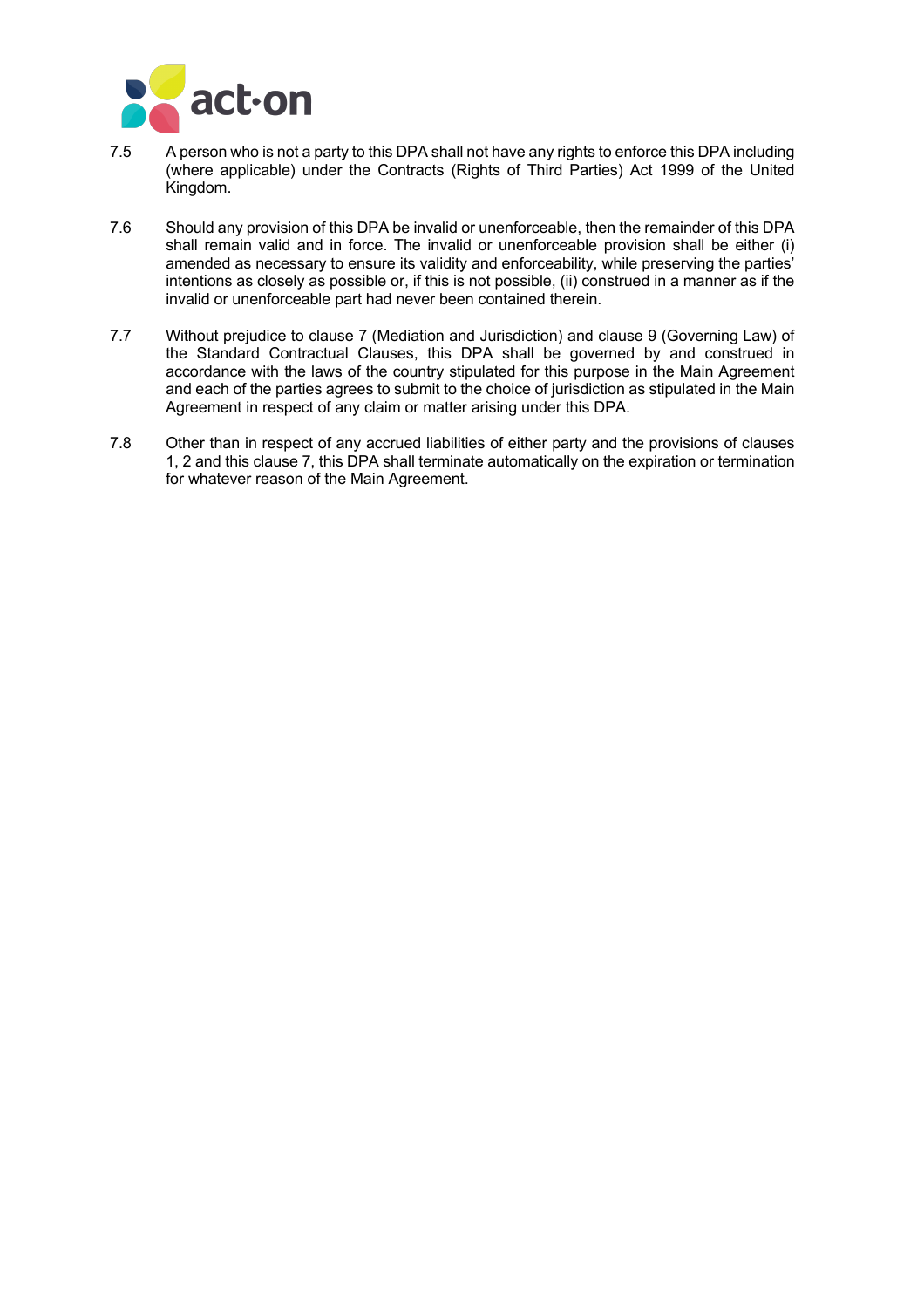

- 7.5 A person who is not a party to this DPA shall not have any rights to enforce this DPA including (where applicable) under the Contracts (Rights of Third Parties) Act 1999 of the United Kingdom.
- 7.6 Should any provision of this DPA be invalid or unenforceable, then the remainder of this DPA shall remain valid and in force. The invalid or unenforceable provision shall be either (i) amended as necessary to ensure its validity and enforceability, while preserving the parties' intentions as closely as possible or, if this is not possible, (ii) construed in a manner as if the invalid or unenforceable part had never been contained therein.
- 7.7 Without prejudice to clause 7 (Mediation and Jurisdiction) and clause 9 (Governing Law) of the Standard Contractual Clauses, this DPA shall be governed by and construed in accordance with the laws of the country stipulated for this purpose in the Main Agreement and each of the parties agrees to submit to the choice of jurisdiction as stipulated in the Main Agreement in respect of any claim or matter arising under this DPA.
- 7.8 Other than in respect of any accrued liabilities of either party and the provisions of clauses 1, 2 and this clause 7, this DPA shall terminate automatically on the expiration or termination for whatever reason of the Main Agreement.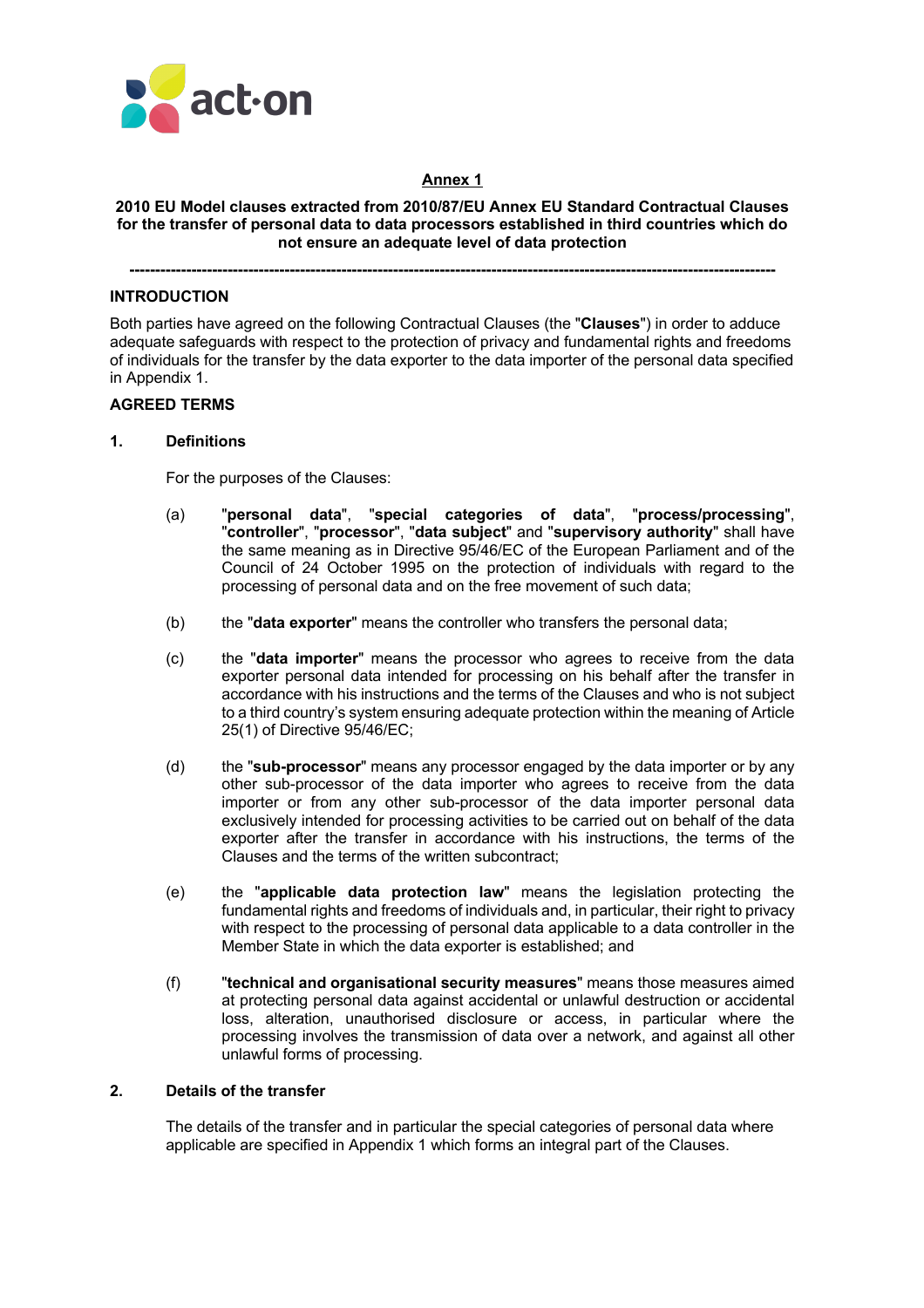

## **Annex 1**

#### **2010 EU Model clauses extracted from 2010/87/EU Annex EU Standard Contractual Clauses for the transfer of personal data to data processors established in third countries which do not ensure an adequate level of data protection**

**-----------------------------------------------------------------------------------------------------------------------------**

#### **INTRODUCTION**

Both parties have agreed on the following Contractual Clauses (the "**Clauses**") in order to adduce adequate safeguards with respect to the protection of privacy and fundamental rights and freedoms of individuals for the transfer by the data exporter to the data importer of the personal data specified in Appendix 1.

## **AGREED TERMS**

#### **1. Definitions**

For the purposes of the Clauses:

- (a) "**personal data**", "**special categories of data**", "**process/processing**", "**controller**", "**processor**", "**data subject**" and "**supervisory authority**" shall have the same meaning as in Directive 95/46/EC of the European Parliament and of the Council of 24 October 1995 on the protection of individuals with regard to the processing of personal data and on the free movement of such data;
- (b) the "**data exporter**" means the controller who transfers the personal data;
- (c) the "**data importer**" means the processor who agrees to receive from the data exporter personal data intended for processing on his behalf after the transfer in accordance with his instructions and the terms of the Clauses and who is not subject to a third country's system ensuring adequate protection within the meaning of Article 25(1) of Directive 95/46/EC;
- (d) the "**sub-processor**" means any processor engaged by the data importer or by any other sub-processor of the data importer who agrees to receive from the data importer or from any other sub-processor of the data importer personal data exclusively intended for processing activities to be carried out on behalf of the data exporter after the transfer in accordance with his instructions, the terms of the Clauses and the terms of the written subcontract;
- (e) the "**applicable data protection law**" means the legislation protecting the fundamental rights and freedoms of individuals and, in particular, their right to privacy with respect to the processing of personal data applicable to a data controller in the Member State in which the data exporter is established; and
- (f) "**technical and organisational security measures**" means those measures aimed at protecting personal data against accidental or unlawful destruction or accidental loss, alteration, unauthorised disclosure or access, in particular where the processing involves the transmission of data over a network, and against all other unlawful forms of processing.

#### **2. Details of the transfer**

The details of the transfer and in particular the special categories of personal data where applicable are specified in Appendix 1 which forms an integral part of the Clauses.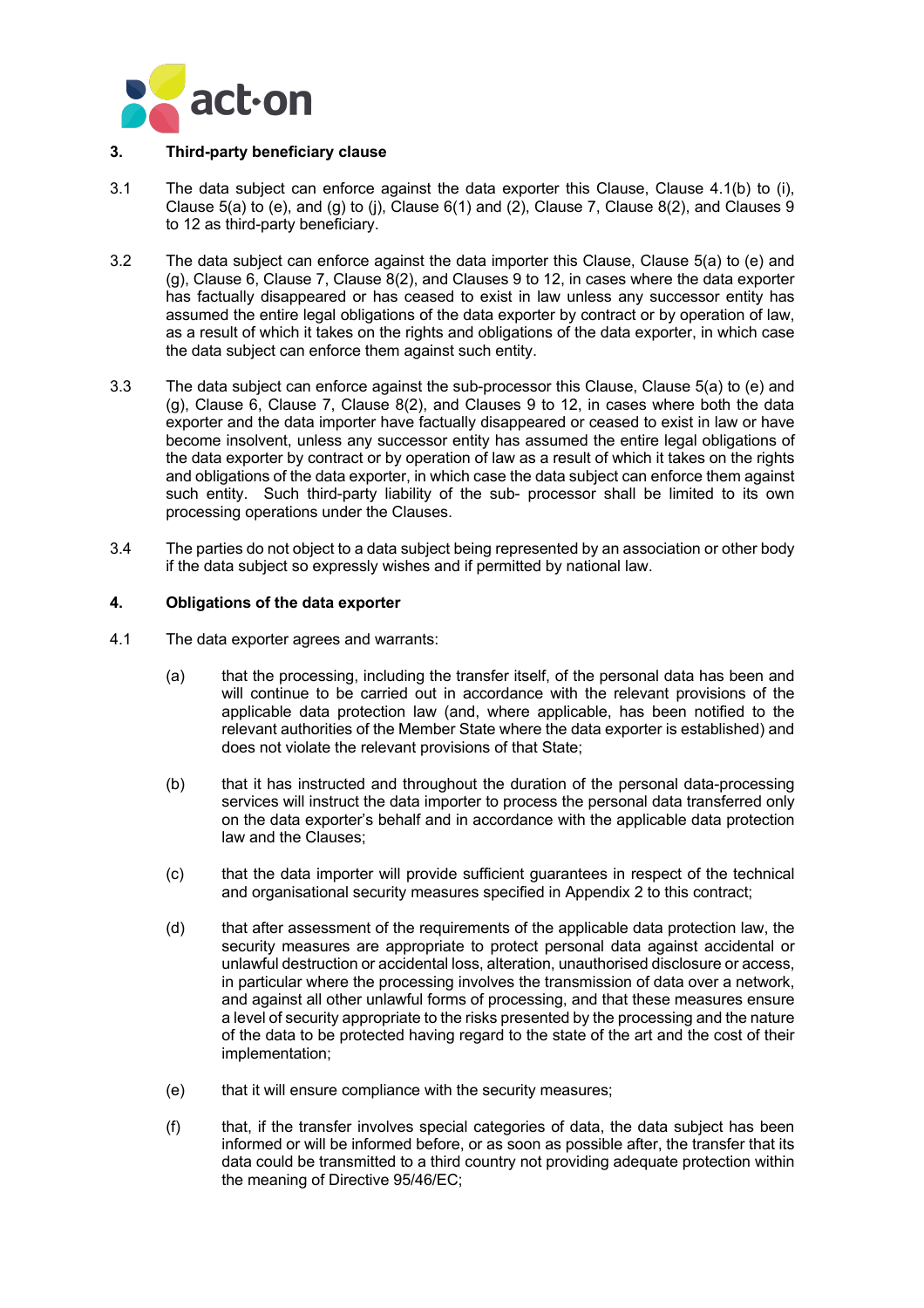

## **3. Third-party beneficiary clause**

- 3.1 The data subject can enforce against the data exporter this Clause, Clause 4.1(b) to (i), Clause  $5(a)$  to (e), and (g) to (j), Clause  $6(1)$  and (2), Clause 7, Clause  $8(2)$ , and Clauses 9 to 12 as third-party beneficiary.
- 3.2 The data subject can enforce against the data importer this Clause, Clause 5(a) to (e) and (g), Clause 6, Clause 7, Clause 8(2), and Clauses 9 to 12, in cases where the data exporter has factually disappeared or has ceased to exist in law unless any successor entity has assumed the entire legal obligations of the data exporter by contract or by operation of law, as a result of which it takes on the rights and obligations of the data exporter, in which case the data subject can enforce them against such entity.
- 3.3 The data subject can enforce against the sub-processor this Clause, Clause 5(a) to (e) and (g), Clause 6, Clause 7, Clause 8(2), and Clauses 9 to 12, in cases where both the data exporter and the data importer have factually disappeared or ceased to exist in law or have become insolvent, unless any successor entity has assumed the entire legal obligations of the data exporter by contract or by operation of law as a result of which it takes on the rights and obligations of the data exporter, in which case the data subject can enforce them against such entity. Such third-party liability of the sub- processor shall be limited to its own processing operations under the Clauses.
- 3.4 The parties do not object to a data subject being represented by an association or other body if the data subject so expressly wishes and if permitted by national law.

#### **4. Obligations of the data exporter**

- 4.1 The data exporter agrees and warrants:
	- (a) that the processing, including the transfer itself, of the personal data has been and will continue to be carried out in accordance with the relevant provisions of the applicable data protection law (and, where applicable, has been notified to the relevant authorities of the Member State where the data exporter is established) and does not violate the relevant provisions of that State;
	- (b) that it has instructed and throughout the duration of the personal data-processing services will instruct the data importer to process the personal data transferred only on the data exporter's behalf and in accordance with the applicable data protection law and the Clauses;
	- (c) that the data importer will provide sufficient guarantees in respect of the technical and organisational security measures specified in Appendix 2 to this contract;
	- (d) that after assessment of the requirements of the applicable data protection law, the security measures are appropriate to protect personal data against accidental or unlawful destruction or accidental loss, alteration, unauthorised disclosure or access, in particular where the processing involves the transmission of data over a network, and against all other unlawful forms of processing, and that these measures ensure a level of security appropriate to the risks presented by the processing and the nature of the data to be protected having regard to the state of the art and the cost of their implementation;
	- (e) that it will ensure compliance with the security measures;
	- (f) that, if the transfer involves special categories of data, the data subject has been informed or will be informed before, or as soon as possible after, the transfer that its data could be transmitted to a third country not providing adequate protection within the meaning of Directive 95/46/EC;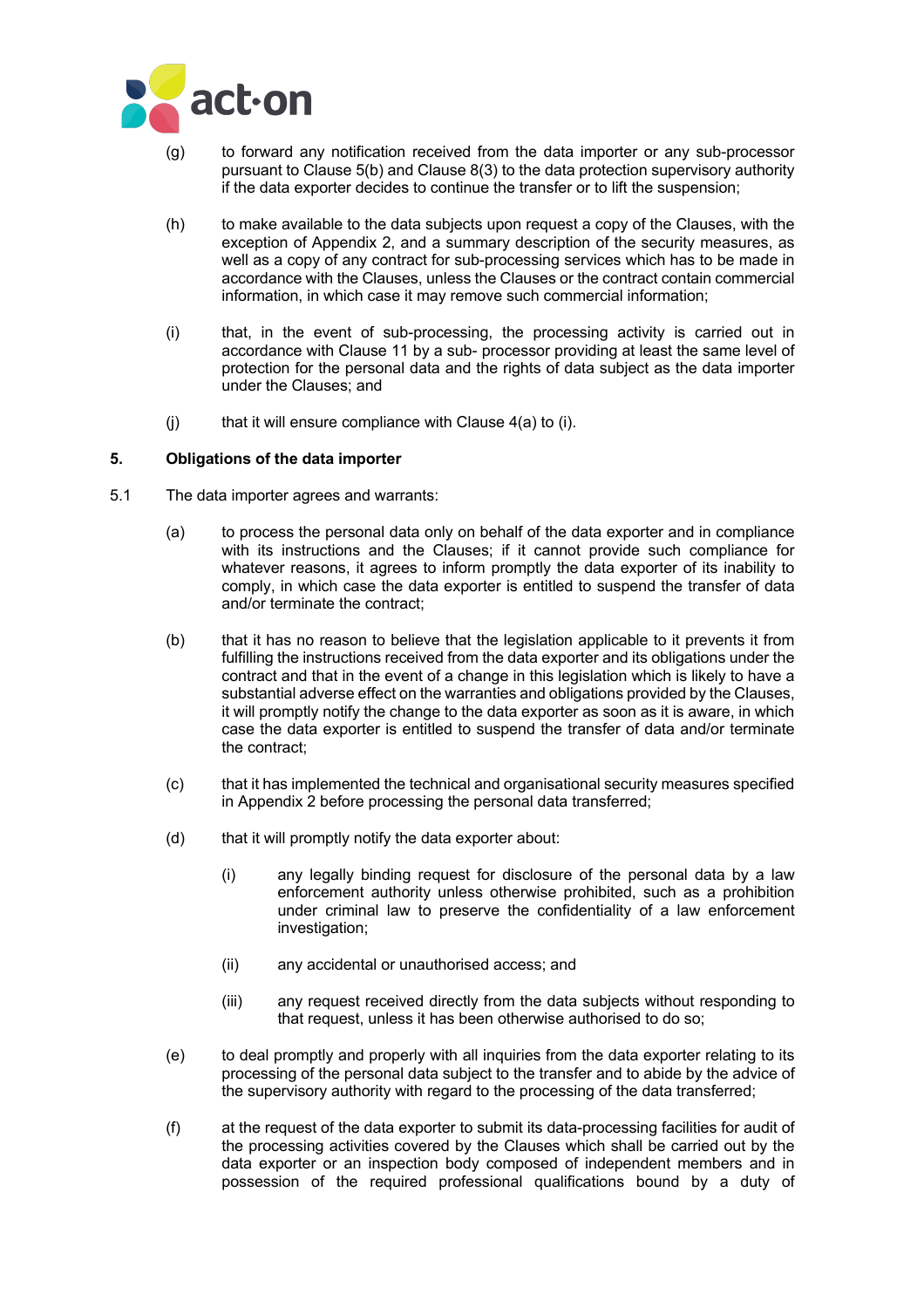

- (g) to forward any notification received from the data importer or any sub-processor pursuant to Clause 5(b) and Clause 8(3) to the data protection supervisory authority if the data exporter decides to continue the transfer or to lift the suspension;
- (h) to make available to the data subjects upon request a copy of the Clauses, with the exception of Appendix 2, and a summary description of the security measures, as well as a copy of any contract for sub-processing services which has to be made in accordance with the Clauses, unless the Clauses or the contract contain commercial information, in which case it may remove such commercial information;
- (i) that, in the event of sub-processing, the processing activity is carried out in accordance with Clause 11 by a sub- processor providing at least the same level of protection for the personal data and the rights of data subject as the data importer under the Clauses; and
- $(i)$  that it will ensure compliance with Clause  $4(a)$  to  $(i)$ .

## **5. Obligations of the data importer**

- 5.1 The data importer agrees and warrants:
	- (a) to process the personal data only on behalf of the data exporter and in compliance with its instructions and the Clauses; if it cannot provide such compliance for whatever reasons, it agrees to inform promptly the data exporter of its inability to comply, in which case the data exporter is entitled to suspend the transfer of data and/or terminate the contract;
	- (b) that it has no reason to believe that the legislation applicable to it prevents it from fulfilling the instructions received from the data exporter and its obligations under the contract and that in the event of a change in this legislation which is likely to have a substantial adverse effect on the warranties and obligations provided by the Clauses, it will promptly notify the change to the data exporter as soon as it is aware, in which case the data exporter is entitled to suspend the transfer of data and/or terminate the contract;
	- (c) that it has implemented the technical and organisational security measures specified in Appendix 2 before processing the personal data transferred;
	- (d) that it will promptly notify the data exporter about:
		- (i) any legally binding request for disclosure of the personal data by a law enforcement authority unless otherwise prohibited, such as a prohibition under criminal law to preserve the confidentiality of a law enforcement investigation:
		- (ii) any accidental or unauthorised access; and
		- (iii) any request received directly from the data subjects without responding to that request, unless it has been otherwise authorised to do so;
	- (e) to deal promptly and properly with all inquiries from the data exporter relating to its processing of the personal data subject to the transfer and to abide by the advice of the supervisory authority with regard to the processing of the data transferred;
	- (f) at the request of the data exporter to submit its data-processing facilities for audit of the processing activities covered by the Clauses which shall be carried out by the data exporter or an inspection body composed of independent members and in possession of the required professional qualifications bound by a duty of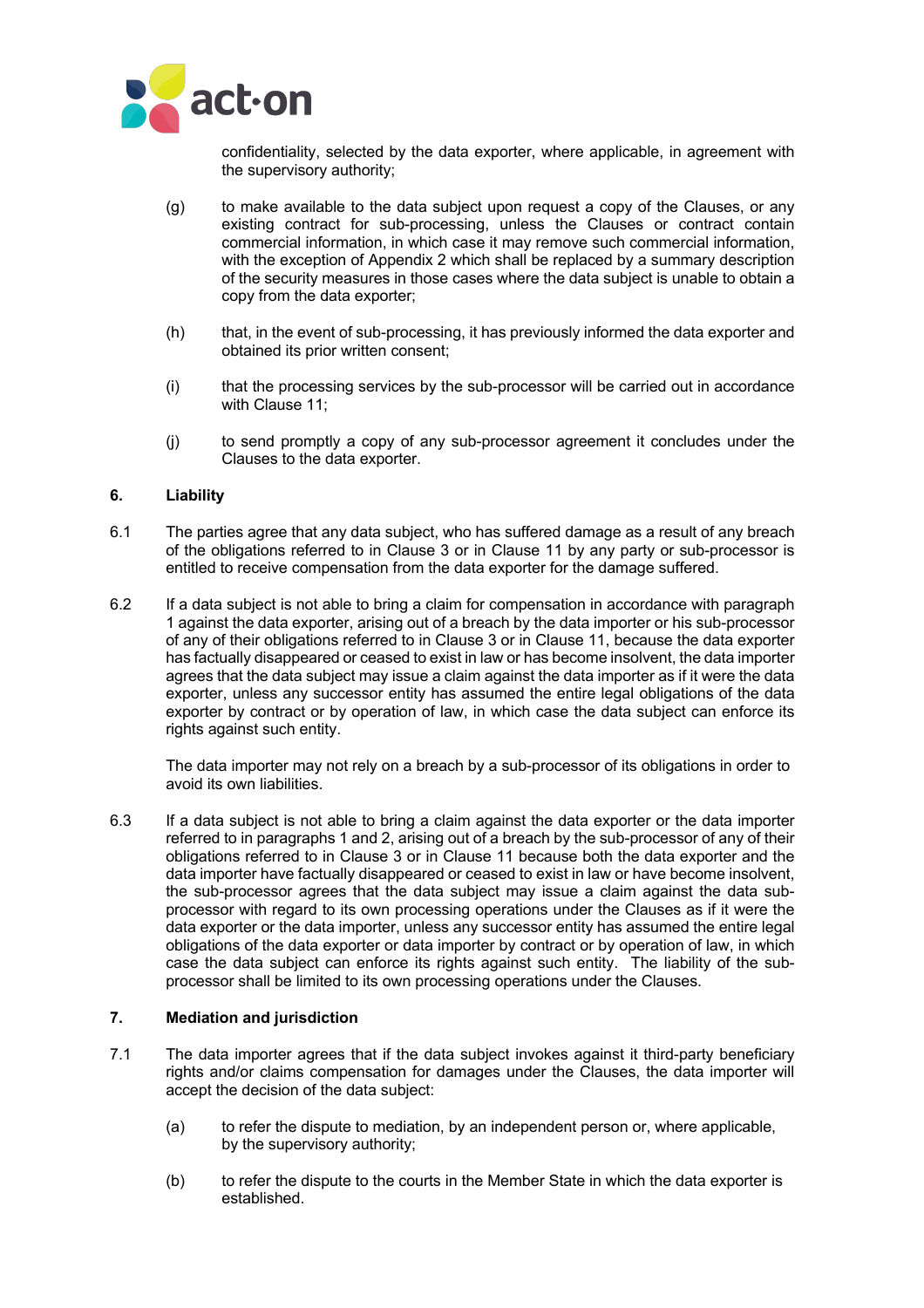

confidentiality, selected by the data exporter, where applicable, in agreement with the supervisory authority;

- (g) to make available to the data subject upon request a copy of the Clauses, or any existing contract for sub-processing, unless the Clauses or contract contain commercial information, in which case it may remove such commercial information, with the exception of Appendix 2 which shall be replaced by a summary description of the security measures in those cases where the data subject is unable to obtain a copy from the data exporter;
- (h) that, in the event of sub-processing, it has previously informed the data exporter and obtained its prior written consent;
- (i) that the processing services by the sub-processor will be carried out in accordance with Clause 11;
- (j) to send promptly a copy of any sub-processor agreement it concludes under the Clauses to the data exporter.

#### **6. Liability**

- 6.1 The parties agree that any data subject, who has suffered damage as a result of any breach of the obligations referred to in Clause 3 or in Clause 11 by any party or sub-processor is entitled to receive compensation from the data exporter for the damage suffered.
- 6.2 If a data subject is not able to bring a claim for compensation in accordance with paragraph 1 against the data exporter, arising out of a breach by the data importer or his sub-processor of any of their obligations referred to in Clause 3 or in Clause 11, because the data exporter has factually disappeared or ceased to exist in law or has become insolvent, the data importer agrees that the data subject may issue a claim against the data importer as if it were the data exporter, unless any successor entity has assumed the entire legal obligations of the data exporter by contract or by operation of law, in which case the data subject can enforce its rights against such entity.

The data importer may not rely on a breach by a sub-processor of its obligations in order to avoid its own liabilities.

6.3 If a data subject is not able to bring a claim against the data exporter or the data importer referred to in paragraphs 1 and 2, arising out of a breach by the sub-processor of any of their obligations referred to in Clause 3 or in Clause 11 because both the data exporter and the data importer have factually disappeared or ceased to exist in law or have become insolvent, the sub-processor agrees that the data subject may issue a claim against the data subprocessor with regard to its own processing operations under the Clauses as if it were the data exporter or the data importer, unless any successor entity has assumed the entire legal obligations of the data exporter or data importer by contract or by operation of law, in which case the data subject can enforce its rights against such entity. The liability of the subprocessor shall be limited to its own processing operations under the Clauses.

## **7. Mediation and jurisdiction**

- 7.1 The data importer agrees that if the data subject invokes against it third-party beneficiary rights and/or claims compensation for damages under the Clauses, the data importer will accept the decision of the data subject:
	- (a) to refer the dispute to mediation, by an independent person or, where applicable, by the supervisory authority;
	- (b) to refer the dispute to the courts in the Member State in which the data exporter is established.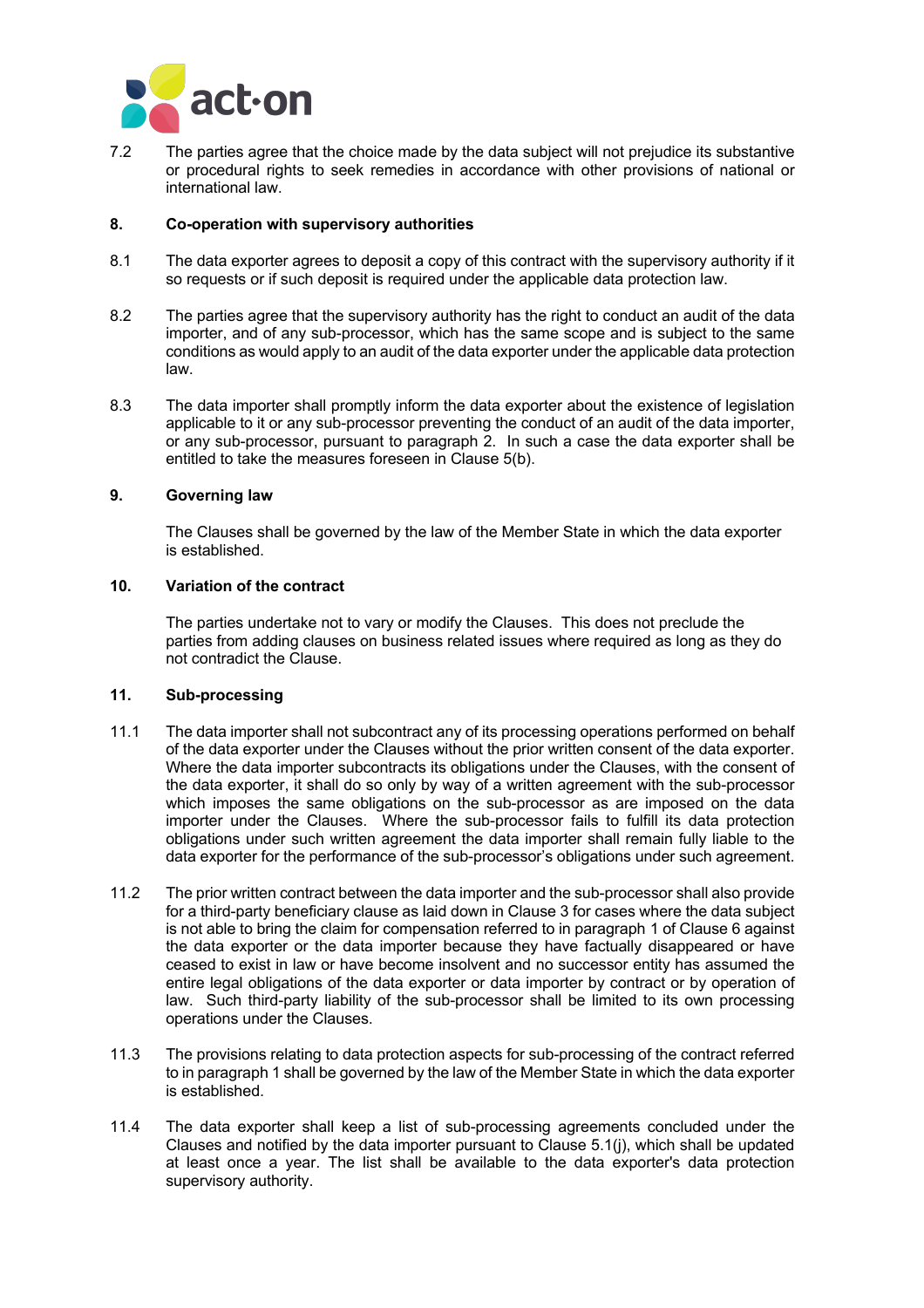

7.2 The parties agree that the choice made by the data subject will not prejudice its substantive or procedural rights to seek remedies in accordance with other provisions of national or international law.

### **8. Co-operation with supervisory authorities**

- 8.1 The data exporter agrees to deposit a copy of this contract with the supervisory authority if it so requests or if such deposit is required under the applicable data protection law.
- 8.2 The parties agree that the supervisory authority has the right to conduct an audit of the data importer, and of any sub-processor, which has the same scope and is subject to the same conditions as would apply to an audit of the data exporter under the applicable data protection law.
- 8.3 The data importer shall promptly inform the data exporter about the existence of legislation applicable to it or any sub-processor preventing the conduct of an audit of the data importer, or any sub-processor, pursuant to paragraph 2. In such a case the data exporter shall be entitled to take the measures foreseen in Clause 5(b).

## **9. Governing law**

The Clauses shall be governed by the law of the Member State in which the data exporter is established.

## **10. Variation of the contract**

The parties undertake not to vary or modify the Clauses. This does not preclude the parties from adding clauses on business related issues where required as long as they do not contradict the Clause.

## **11. Sub-processing**

- 11.1 The data importer shall not subcontract any of its processing operations performed on behalf of the data exporter under the Clauses without the prior written consent of the data exporter. Where the data importer subcontracts its obligations under the Clauses, with the consent of the data exporter, it shall do so only by way of a written agreement with the sub-processor which imposes the same obligations on the sub-processor as are imposed on the data importer under the Clauses. Where the sub-processor fails to fulfill its data protection obligations under such written agreement the data importer shall remain fully liable to the data exporter for the performance of the sub-processor's obligations under such agreement.
- 11.2 The prior written contract between the data importer and the sub-processor shall also provide for a third-party beneficiary clause as laid down in Clause 3 for cases where the data subject is not able to bring the claim for compensation referred to in paragraph 1 of Clause 6 against the data exporter or the data importer because they have factually disappeared or have ceased to exist in law or have become insolvent and no successor entity has assumed the entire legal obligations of the data exporter or data importer by contract or by operation of law. Such third-party liability of the sub-processor shall be limited to its own processing operations under the Clauses.
- 11.3 The provisions relating to data protection aspects for sub-processing of the contract referred to in paragraph 1 shall be governed by the law of the Member State in which the data exporter is established.
- 11.4 The data exporter shall keep a list of sub-processing agreements concluded under the Clauses and notified by the data importer pursuant to Clause 5.1(j), which shall be updated at least once a year. The list shall be available to the data exporter's data protection supervisory authority.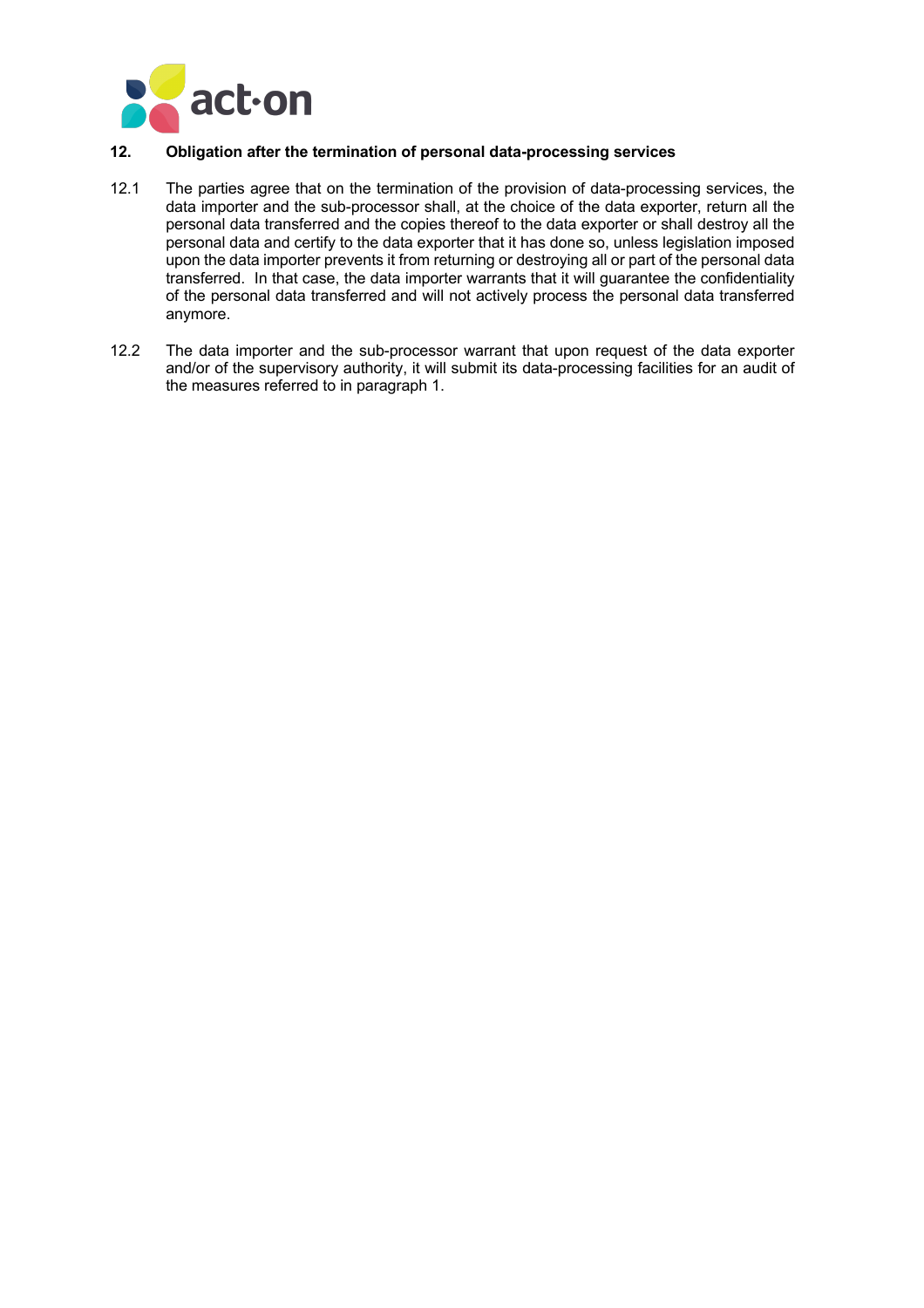

## **12. Obligation after the termination of personal data-processing services**

- 12.1 The parties agree that on the termination of the provision of data-processing services, the data importer and the sub-processor shall, at the choice of the data exporter, return all the personal data transferred and the copies thereof to the data exporter or shall destroy all the personal data and certify to the data exporter that it has done so, unless legislation imposed upon the data importer prevents it from returning or destroying all or part of the personal data transferred. In that case, the data importer warrants that it will guarantee the confidentiality of the personal data transferred and will not actively process the personal data transferred anymore.
- 12.2 The data importer and the sub-processor warrant that upon request of the data exporter and/or of the supervisory authority, it will submit its data-processing facilities for an audit of the measures referred to in paragraph 1.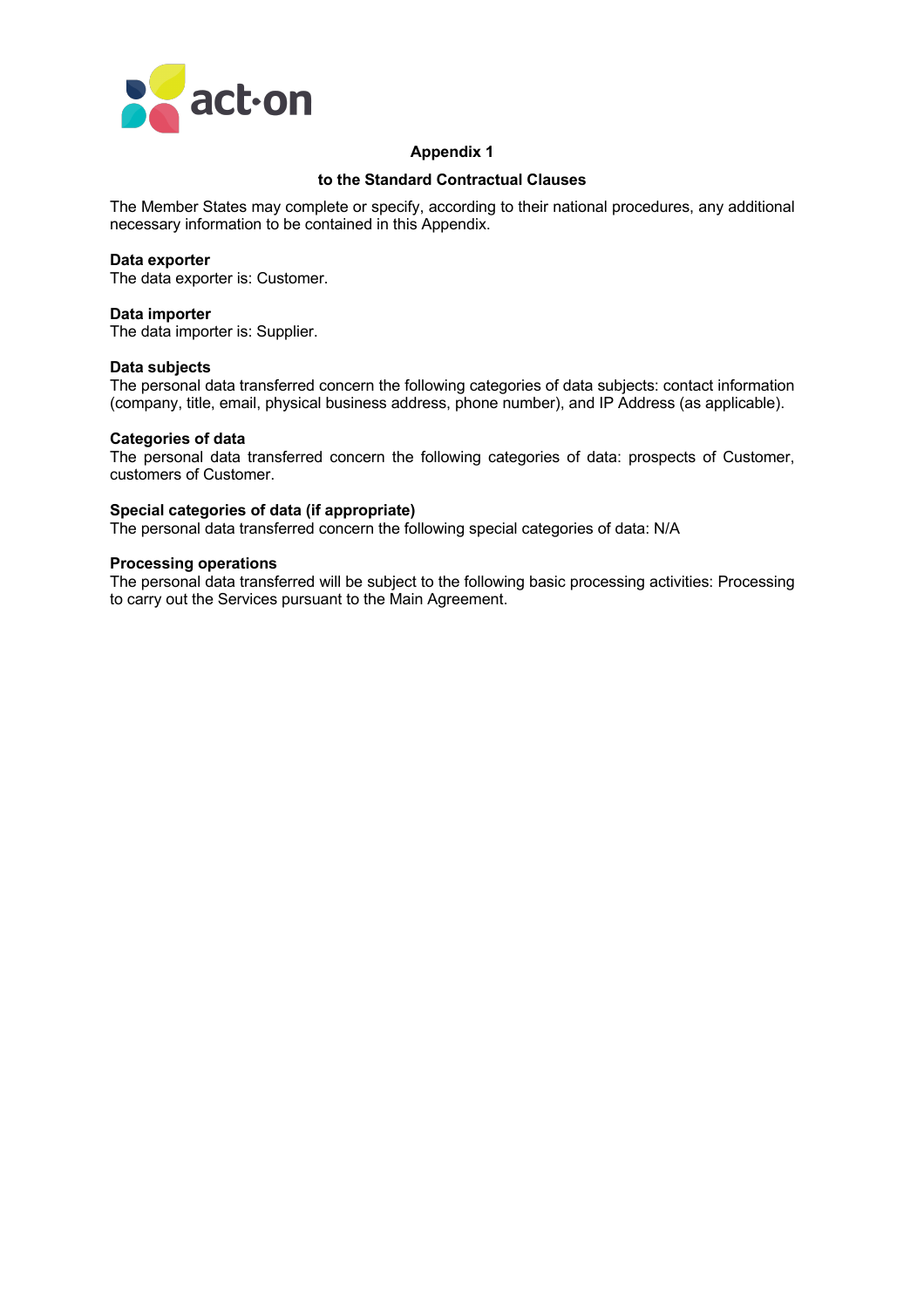

## **Appendix 1**

## **to the Standard Contractual Clauses**

The Member States may complete or specify, according to their national procedures, any additional necessary information to be contained in this Appendix.

#### **Data exporter**

The data exporter is: Customer.

#### **Data importer**

The data importer is: Supplier.

#### **Data subjects**

The personal data transferred concern the following categories of data subjects: contact information (company, title, email, physical business address, phone number), and IP Address (as applicable).

#### **Categories of data**

The personal data transferred concern the following categories of data: prospects of Customer, customers of Customer.

#### **Special categories of data (if appropriate)**

The personal data transferred concern the following special categories of data: N/A

#### **Processing operations**

The personal data transferred will be subject to the following basic processing activities: Processing to carry out the Services pursuant to the Main Agreement.